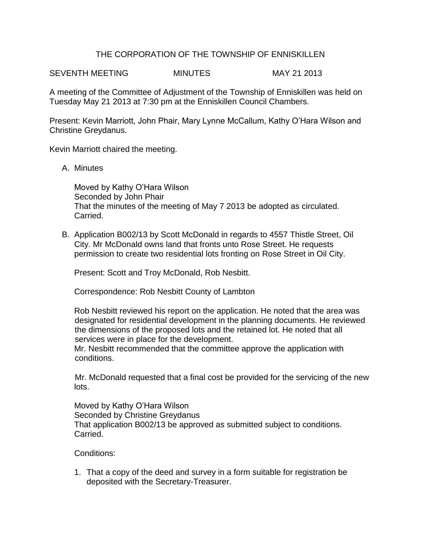## THE CORPORATION OF THE TOWNSHIP OF ENNISKILLEN

SEVENTH MEETING MINUTES MAY 21 2013

A meeting of the Committee of Adjustment of the Township of Enniskillen was held on Tuesday May 21 2013 at 7:30 pm at the Enniskillen Council Chambers.

Present: Kevin Marriott, John Phair, Mary Lynne McCallum, Kathy O'Hara Wilson and Christine Greydanus.

Kevin Marriott chaired the meeting.

A. Minutes

Moved by Kathy O'Hara Wilson Seconded by John Phair That the minutes of the meeting of May 7 2013 be adopted as circulated. Carried.

B. Application B002/13 by Scott McDonald in regards to 4557 Thistle Street, Oil City. Mr McDonald owns land that fronts unto Rose Street. He requests permission to create two residential lots fronting on Rose Street in Oil City.

Present: Scott and Troy McDonald, Rob Nesbitt.

Correspondence: Rob Nesbitt County of Lambton

Rob Nesbitt reviewed his report on the application. He noted that the area was designated for residential development in the planning documents. He reviewed the dimensions of the proposed lots and the retained lot. He noted that all services were in place for the development.

Mr. Nesbitt recommended that the committee approve the application with conditions.

 Mr. McDonald requested that a final cost be provided for the servicing of the new lots.

Moved by Kathy O'Hara Wilson Seconded by Christine Greydanus That application B002/13 be approved as submitted subject to conditions. Carried.

Conditions:

1. That a copy of the deed and survey in a form suitable for registration be deposited with the Secretary-Treasurer.